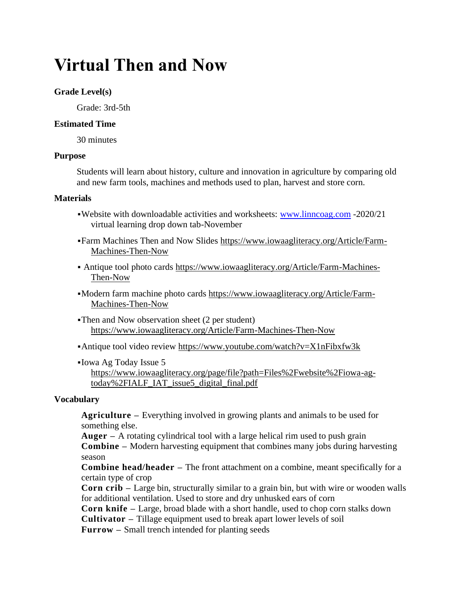# **Virtual Then and Now**

# **Grade Level(s)**

Grade: 3rd-5th

## **Estimated Time**

30 minutes

## **Purpose**

Students will learn about history, culture and innovation in agriculture by comparing old and new farm tools, machines and methods used to plan, harvest and store corn.

## **Materials**

- ▪Website with downloadable activities and worksheets: [www.linncoag.com](http://www.linncoag.com/) -2020/21 virtual learning drop down tab-November
- ▪Farm Machines Then and Now Slides [https://www.iowaagliteracy.org/Article/Farm-](https://www.iowaagliteracy.org/Article/Farm-Machines-Then-Now)[Machines-Then-Now](https://www.iowaagliteracy.org/Article/Farm-Machines-Then-Now)
- Antique tool photo cards [https://www.iowaagliteracy.org/Article/Farm-Machines-](https://www.iowaagliteracy.org/Article/Farm-Machines-Then-Now)[Then-Now](https://www.iowaagliteracy.org/Article/Farm-Machines-Then-Now)
- ▪Modern farm machine photo cards [https://www.iowaagliteracy.org/Article/Farm-](https://www.iowaagliteracy.org/Article/Farm-Machines-Then-Now)[Machines-Then-Now](https://www.iowaagliteracy.org/Article/Farm-Machines-Then-Now)
- •Then and Now observation sheet (2 per student) <https://www.iowaagliteracy.org/Article/Farm-Machines-Then-Now>
- ▪Antique tool video review<https://www.youtube.com/watch?v=X1nFibxfw3k>
- ▪Iowa Ag Today Issue 5 [https://www.iowaagliteracy.org/page/file?path=Files%2Fwebsite%2Fiowa-ag](https://www.iowaagliteracy.org/page/file?path=Files%2Fwebsite%2Fiowa-ag-today%2FIALF_IAT_issue5_digital_final.pdf)[today%2FIALF\\_IAT\\_issue5\\_digital\\_final.pdf](https://www.iowaagliteracy.org/page/file?path=Files%2Fwebsite%2Fiowa-ag-today%2FIALF_IAT_issue5_digital_final.pdf)

## **Vocabulary**

**Agriculture –** Everything involved in growing plants and animals to be used for something else.

**Auger –** A rotating cylindrical tool with a large helical rim used to push grain **Combine –** Modern harvesting equipment that combines many jobs during harvesting season

**Combine head/header –** The front attachment on a combine, meant specifically for a certain type of crop

**Corn crib –** Large bin, structurally similar to a grain bin, but with wire or wooden walls for additional ventilation. Used to store and dry unhusked ears of corn

**Corn knife –** Large, broad blade with a short handle, used to chop corn stalks down **Cultivator –** Tillage equipment used to break apart lower levels of soil

**Furrow –** Small trench intended for planting seeds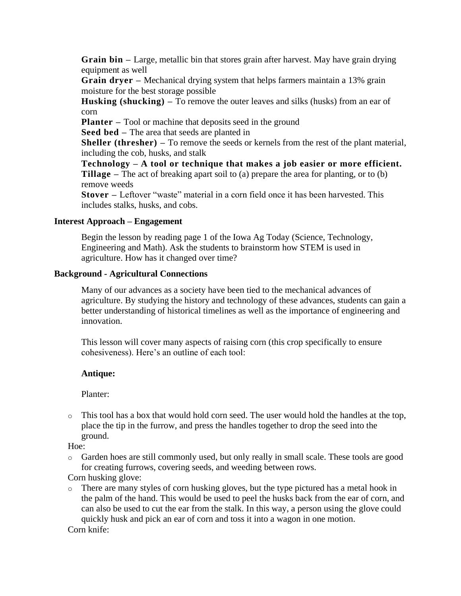**Grain bin –** Large, metallic bin that stores grain after harvest. May have grain drying equipment as well

**Grain dryer –** Mechanical drying system that helps farmers maintain a 13% grain moisture for the best storage possible

**Husking (shucking)** – To remove the outer leaves and silks (husks) from an ear of corn

**Planter –** Tool or machine that deposits seed in the ground

**Seed bed –** The area that seeds are planted in

**Sheller (thresher) –** To remove the seeds or kernels from the rest of the plant material, including the cob, husks, and stalk

**Technology – A tool or technique that makes a job easier or more efficient. Tillage –** The act of breaking apart soil to (a) prepare the area for planting, or to (b) remove weeds

**Stover –** Leftover "waste" material in a corn field once it has been harvested. This includes stalks, husks, and cobs.

# **Interest Approach – Engagement**

Begin the lesson by reading page 1 of the Iowa Ag Today (Science, Technology, Engineering and Math). Ask the students to brainstorm how STEM is used in agriculture. How has it changed over time?

# **Background - Agricultural Connections**

Many of our advances as a society have been tied to the mechanical advances of agriculture. By studying the history and technology of these advances, students can gain a better understanding of historical timelines as well as the importance of engineering and innovation.

This lesson will cover many aspects of raising corn (this crop specifically to ensure cohesiveness). Here's an outline of each tool:

## **Antique:**

Planter:

 $\circ$  This tool has a box that would hold corn seed. The user would hold the handles at the top, place the tip in the furrow, and press the handles together to drop the seed into the ground.

Hoe:

o Garden hoes are still commonly used, but only really in small scale. These tools are good for creating furrows, covering seeds, and weeding between rows.

Corn husking glove:

o There are many styles of corn husking gloves, but the type pictured has a metal hook in the palm of the hand. This would be used to peel the husks back from the ear of corn, and can also be used to cut the ear from the stalk. In this way, a person using the glove could quickly husk and pick an ear of corn and toss it into a wagon in one motion.

Corn knife: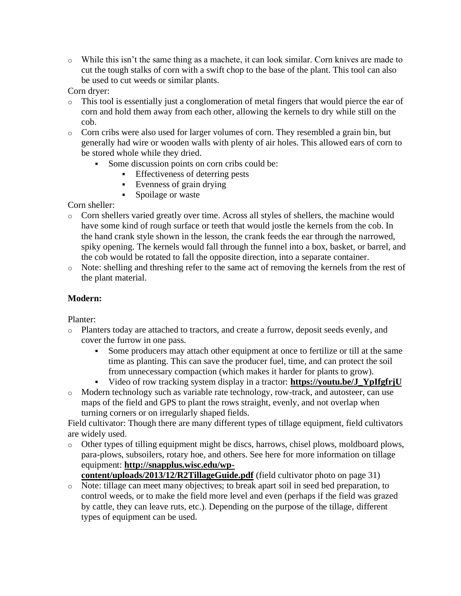$\circ$  While this isn't the same thing as a machete, it can look similar. Corn knives are made to cut the tough stalks of corn with a swift chop to the base of the plant. This tool can also be used to cut weeds or similar plants.

Corn dryer:

- o This tool is essentially just a conglomeration of metal fingers that would pierce the ear of corn and hold them away from each other, allowing the kernels to dry while still on the cob.
- o Corn cribs were also used for larger volumes of corn. They resembled a grain bin, but generally had wire or wooden walls with plenty of air holes. This allowed ears of corn to be stored whole while they dried.
	- Some discussion points on corn cribs could be:
		- **•** Effectiveness of deterring pests
		- Evenness of grain drying
		- Spoilage or waste

Corn sheller:

- o Corn shellers varied greatly over time. Across all styles of shellers, the machine would have some kind of rough surface or teeth that would jostle the kernels from the cob. In the hand crank style shown in the lesson, the crank feeds the ear through the narrowed, spiky opening. The kernels would fall through the funnel into a box, basket, or barrel, and the cob would be rotated to fall the opposite direction, into a separate container.
- o Note: shelling and threshing refer to the same act of removing the kernels from the rest of the plant material.

# **Modern:**

Planter:

- o Planters today are attached to tractors, and create a furrow, deposit seeds evenly, and cover the furrow in one pass.
	- Some producers may attach other equipment at once to fertilize or till at the same time as planting. This can save the producer fuel, time, and can protect the soil from unnecessary compaction (which makes it harder for plants to grow).
	- Video of row tracking system display in a tractor: **[https://youtu.be/J\\_YpIfgfrjU](https://youtu.be/J_YpIfgfrjU)**
- o Modern technology such as variable rate technology, row-track, and autosteer, can use maps of the field and GPS to plant the rows straight, evenly, and not overlap when turning corners or on irregularly shaped fields.

Field cultivator: Though there are many different types of tillage equipment, field cultivators are widely used.

- o Other types of tilling equipment might be discs, harrows, chisel plows, moldboard plows, para-plows, subsoilers, rotary hoe, and others. See here for more information on tillage equipment: **[http://snapplus.wisc.edu/wp](http://snapplus.wisc.edu/wp-content/uploads/2013/12/R2TillageGuide.pdf)[content/uploads/2013/12/R2TillageGuide.pdf](http://snapplus.wisc.edu/wp-content/uploads/2013/12/R2TillageGuide.pdf)** (field cultivator photo on page 31)
- o Note: tillage can meet many objectives; to break apart soil in seed bed preparation, to control weeds, or to make the field more level and even (perhaps if the field was grazed by cattle, they can leave ruts, etc.). Depending on the purpose of the tillage, different types of equipment can be used.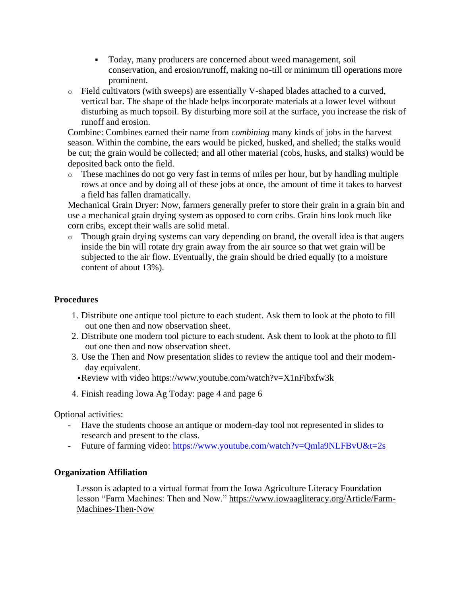- Today, many producers are concerned about weed management, soil conservation, and erosion/runoff, making no-till or minimum till operations more prominent.
- o Field cultivators (with sweeps) are essentially V-shaped blades attached to a curved, vertical bar. The shape of the blade helps incorporate materials at a lower level without disturbing as much topsoil. By disturbing more soil at the surface, you increase the risk of runoff and erosion.

Combine: Combines earned their name from *combining* many kinds of jobs in the harvest season. Within the combine, the ears would be picked, husked, and shelled; the stalks would be cut; the grain would be collected; and all other material (cobs, husks, and stalks) would be deposited back onto the field.

o These machines do not go very fast in terms of miles per hour, but by handling multiple rows at once and by doing all of these jobs at once, the amount of time it takes to harvest a field has fallen dramatically.

Mechanical Grain Dryer: Now, farmers generally prefer to store their grain in a grain bin and use a mechanical grain drying system as opposed to corn cribs. Grain bins look much like corn cribs, except their walls are solid metal.

o Though grain drying systems can vary depending on brand, the overall idea is that augers inside the bin will rotate dry grain away from the air source so that wet grain will be subjected to the air flow. Eventually, the grain should be dried equally (to a moisture content of about 13%).

# **Procedures**

- 1. Distribute one antique tool picture to each student. Ask them to look at the photo to fill out one then and now observation sheet.
- 2. Distribute one modern tool picture to each student. Ask them to look at the photo to fill out one then and now observation sheet.
- 3. Use the Then and Now presentation slides to review the antique tool and their modernday equivalent.
	- **Review with video<https://www.youtube.com/watch?v=X1nFibxfw3k>**
- 4. Finish reading Iowa Ag Today: page 4 and page 6

Optional activities:

- Have the students choose an antique or modern-day tool not represented in slides to research and present to the class.
- Future of farming video:<https://www.youtube.com/watch?v=Qmla9NLFBvU&t=2s>

# **Organization Affiliation**

Lesson is adapted to a virtual format from the Iowa Agriculture Literacy Foundation lesson "Farm Machines: Then and Now." [https://www.iowaagliteracy.org/Article/Farm-](https://www.iowaagliteracy.org/Article/Farm-Machines-Then-Now)[Machines-Then-Now](https://www.iowaagliteracy.org/Article/Farm-Machines-Then-Now)